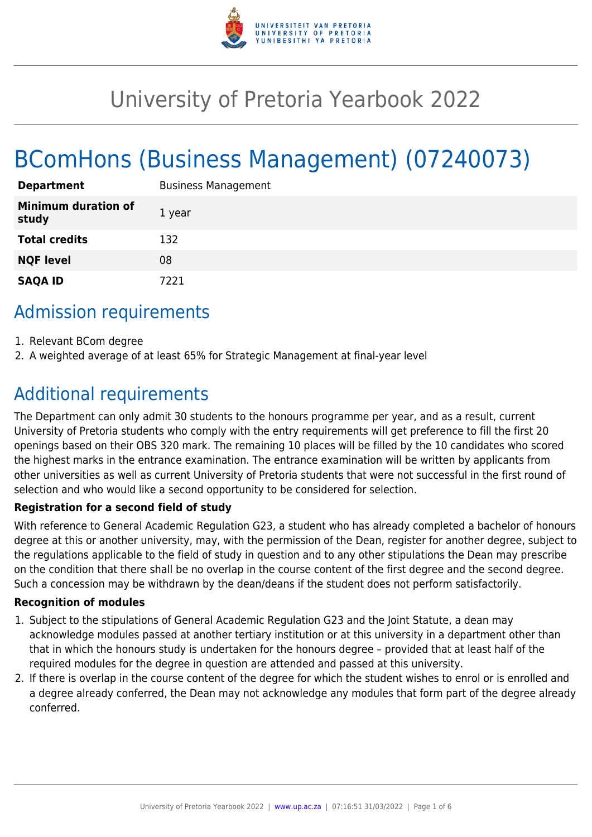

# University of Pretoria Yearbook 2022

# BComHons (Business Management) (07240073)

| <b>Department</b>                   | <b>Business Management</b> |
|-------------------------------------|----------------------------|
| <b>Minimum duration of</b><br>study | 1 year                     |
| <b>Total credits</b>                | 132                        |
| <b>NQF level</b>                    | 08                         |
| <b>SAQA ID</b>                      | 7221                       |

# Admission requirements

- 1. Relevant BCom degree
- 2. A weighted average of at least 65% for Strategic Management at final-year level

# Additional requirements

The Department can only admit 30 students to the honours programme per year, and as a result, current University of Pretoria students who comply with the entry requirements will get preference to fill the first 20 openings based on their OBS 320 mark. The remaining 10 places will be filled by the 10 candidates who scored the highest marks in the entrance examination. The entrance examination will be written by applicants from other universities as well as current University of Pretoria students that were not successful in the first round of selection and who would like a second opportunity to be considered for selection.

#### **Registration for a second field of study**

With reference to General Academic Regulation G23, a student who has already completed a bachelor of honours degree at this or another university, may, with the permission of the Dean, register for another degree, subject to the regulations applicable to the field of study in question and to any other stipulations the Dean may prescribe on the condition that there shall be no overlap in the course content of the first degree and the second degree. Such a concession may be withdrawn by the dean/deans if the student does not perform satisfactorily.

#### **Recognition of modules**

- 1. Subject to the stipulations of General Academic Regulation G23 and the Joint Statute, a dean may acknowledge modules passed at another tertiary institution or at this university in a department other than that in which the honours study is undertaken for the honours degree – provided that at least half of the required modules for the degree in question are attended and passed at this university.
- 2. If there is overlap in the course content of the degree for which the student wishes to enrol or is enrolled and a degree already conferred, the Dean may not acknowledge any modules that form part of the degree already conferred.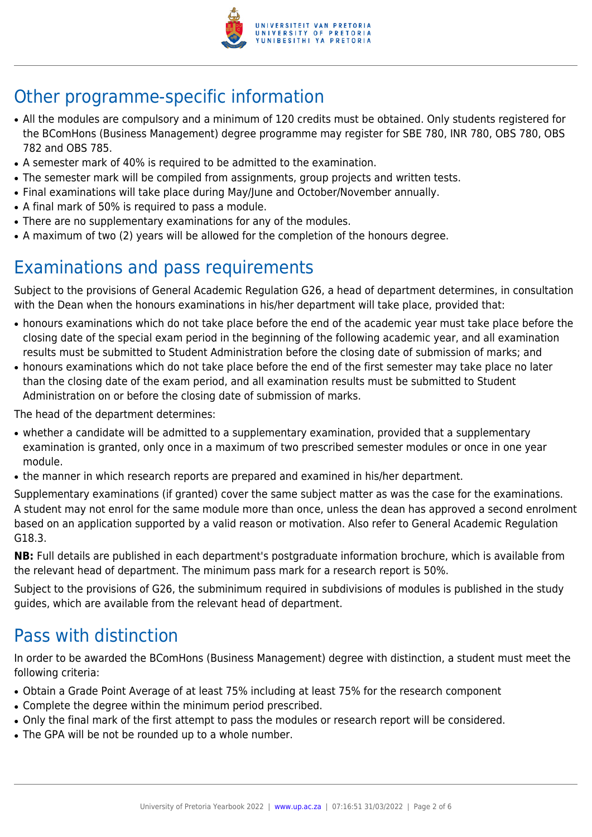

# Other programme-specific information

- All the modules are compulsory and a minimum of 120 credits must be obtained. Only students registered for the BComHons (Business Management) degree programme may register for SBE 780, INR 780, OBS 780, OBS 782 and OBS 785.
- A semester mark of 40% is required to be admitted to the examination.
- The semester mark will be compiled from assignments, group projects and written tests.
- Final examinations will take place during May/June and October/November annually.
- A final mark of 50% is required to pass a module.
- There are no supplementary examinations for any of the modules.
- A maximum of two (2) years will be allowed for the completion of the honours degree.

# Examinations and pass requirements

Subject to the provisions of General Academic Regulation G26, a head of department determines, in consultation with the Dean when the honours examinations in his/her department will take place, provided that:

- honours examinations which do not take place before the end of the academic year must take place before the closing date of the special exam period in the beginning of the following academic year, and all examination results must be submitted to Student Administration before the closing date of submission of marks; and
- honours examinations which do not take place before the end of the first semester may take place no later than the closing date of the exam period, and all examination results must be submitted to Student Administration on or before the closing date of submission of marks.

The head of the department determines:

- whether a candidate will be admitted to a supplementary examination, provided that a supplementary examination is granted, only once in a maximum of two prescribed semester modules or once in one year module.
- the manner in which research reports are prepared and examined in his/her department.

Supplementary examinations (if granted) cover the same subject matter as was the case for the examinations. A student may not enrol for the same module more than once, unless the dean has approved a second enrolment based on an application supported by a valid reason or motivation. Also refer to General Academic Regulation G18.3.

**NB:** Full details are published in each department's postgraduate information brochure, which is available from the relevant head of department. The minimum pass mark for a research report is 50%.

Subject to the provisions of G26, the subminimum required in subdivisions of modules is published in the study guides, which are available from the relevant head of department.

# Pass with distinction

In order to be awarded the BComHons (Business Management) degree with distinction, a student must meet the following criteria:

- Obtain a Grade Point Average of at least 75% including at least 75% for the research component
- Complete the degree within the minimum period prescribed.
- Only the final mark of the first attempt to pass the modules or research report will be considered.
- The GPA will be not be rounded up to a whole number.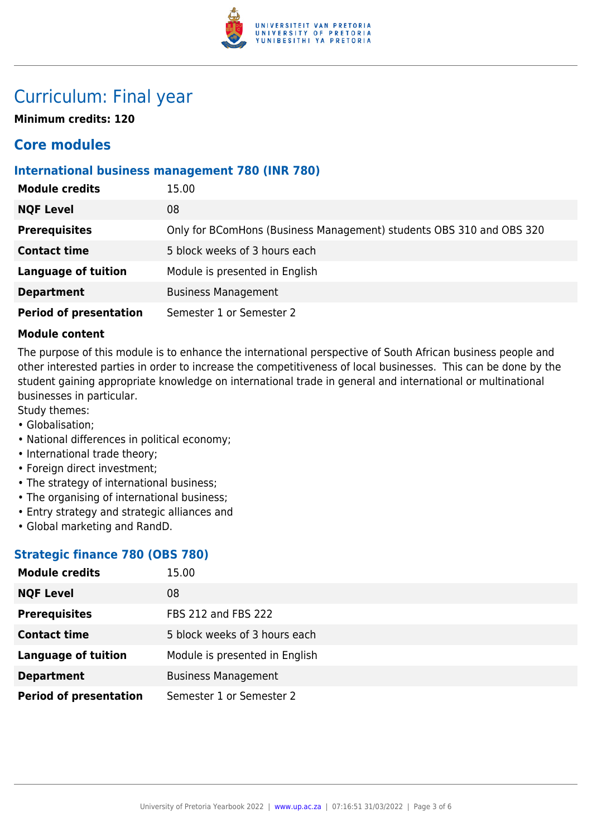

# Curriculum: Final year

**Minimum credits: 120**

### **Core modules**

#### **International business management 780 (INR 780)**

| <b>Module credits</b>         | 15.00                                                                |
|-------------------------------|----------------------------------------------------------------------|
| <b>NQF Level</b>              | 08                                                                   |
| <b>Prerequisites</b>          | Only for BComHons (Business Management) students OBS 310 and OBS 320 |
| <b>Contact time</b>           | 5 block weeks of 3 hours each                                        |
| <b>Language of tuition</b>    | Module is presented in English                                       |
| <b>Department</b>             | <b>Business Management</b>                                           |
| <b>Period of presentation</b> | Semester 1 or Semester 2                                             |

#### **Module content**

The purpose of this module is to enhance the international perspective of South African business people and other interested parties in order to increase the competitiveness of local businesses. This can be done by the student gaining appropriate knowledge on international trade in general and international or multinational businesses in particular.

Study themes:

- Globalisation;
- National differences in political economy;
- International trade theory;
- Foreign direct investment;
- The strategy of international business;
- The organising of international business;
- Entry strategy and strategic alliances and
- Global marketing and RandD.

#### **Strategic finance 780 (OBS 780)**

| <b>Module credits</b>         | 15.00                          |
|-------------------------------|--------------------------------|
| <b>NQF Level</b>              | 08                             |
| <b>Prerequisites</b>          | FBS 212 and FBS 222            |
| <b>Contact time</b>           | 5 block weeks of 3 hours each  |
| <b>Language of tuition</b>    | Module is presented in English |
| <b>Department</b>             | <b>Business Management</b>     |
| <b>Period of presentation</b> | Semester 1 or Semester 2       |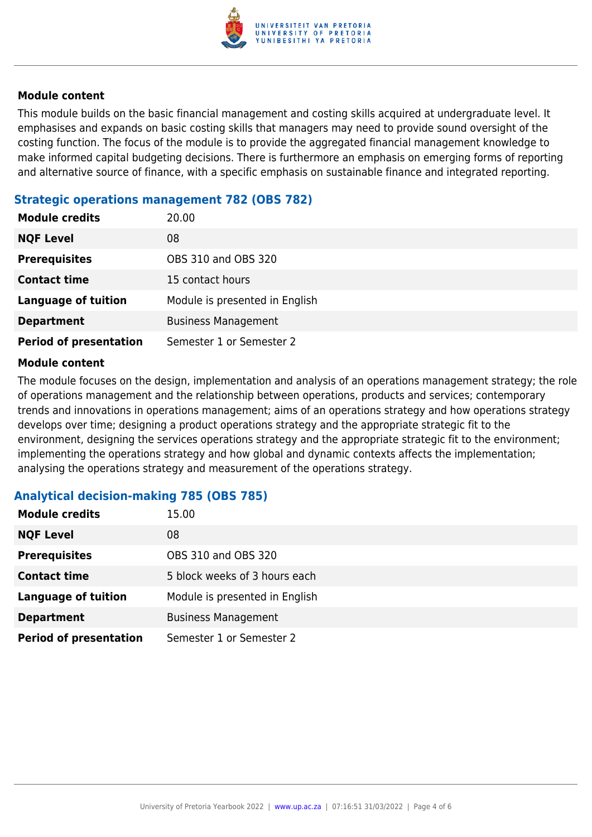

#### **Module content**

This module builds on the basic financial management and costing skills acquired at undergraduate level. It emphasises and expands on basic costing skills that managers may need to provide sound oversight of the costing function. The focus of the module is to provide the aggregated financial management knowledge to make informed capital budgeting decisions. There is furthermore an emphasis on emerging forms of reporting and alternative source of finance, with a specific emphasis on sustainable finance and integrated reporting.

#### **Strategic operations management 782 (OBS 782)**

| <b>Module credits</b>         | 20.00                          |
|-------------------------------|--------------------------------|
| <b>NQF Level</b>              | 08                             |
| <b>Prerequisites</b>          | OBS 310 and OBS 320            |
| <b>Contact time</b>           | 15 contact hours               |
| <b>Language of tuition</b>    | Module is presented in English |
| <b>Department</b>             | <b>Business Management</b>     |
| <b>Period of presentation</b> | Semester 1 or Semester 2       |

#### **Module content**

The module focuses on the design, implementation and analysis of an operations management strategy; the role of operations management and the relationship between operations, products and services; contemporary trends and innovations in operations management; aims of an operations strategy and how operations strategy develops over time; designing a product operations strategy and the appropriate strategic fit to the environment, designing the services operations strategy and the appropriate strategic fit to the environment; implementing the operations strategy and how global and dynamic contexts affects the implementation; analysing the operations strategy and measurement of the operations strategy.

#### **Analytical decision-making 785 (OBS 785)**

| <b>Module credits</b>         | 15.00                          |
|-------------------------------|--------------------------------|
| <b>NQF Level</b>              | 08                             |
| <b>Prerequisites</b>          | OBS 310 and OBS 320            |
| <b>Contact time</b>           | 5 block weeks of 3 hours each  |
| <b>Language of tuition</b>    | Module is presented in English |
| <b>Department</b>             | <b>Business Management</b>     |
| <b>Period of presentation</b> | Semester 1 or Semester 2       |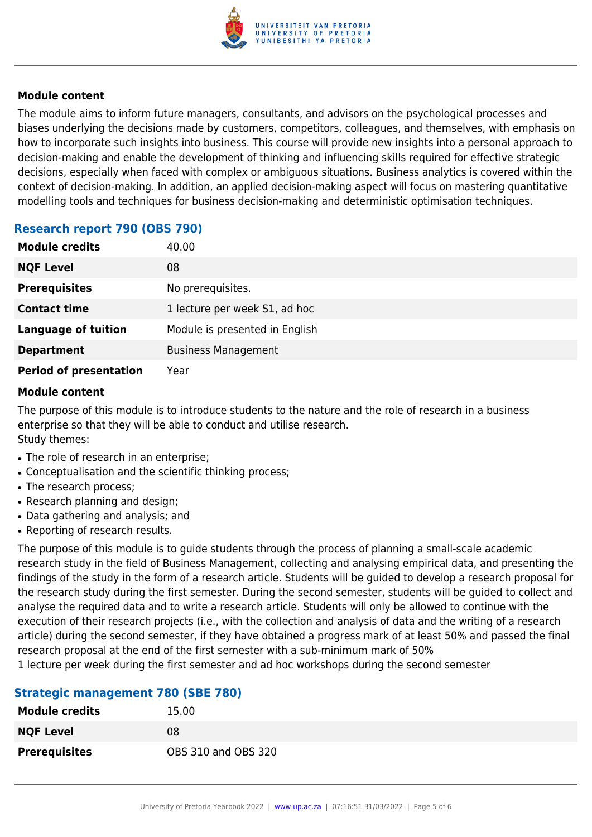

#### **Module content**

The module aims to inform future managers, consultants, and advisors on the psychological processes and biases underlying the decisions made by customers, competitors, colleagues, and themselves, with emphasis on how to incorporate such insights into business. This course will provide new insights into a personal approach to decision-making and enable the development of thinking and influencing skills required for effective strategic decisions, especially when faced with complex or ambiguous situations. Business analytics is covered within the context of decision-making. In addition, an applied decision-making aspect will focus on mastering quantitative modelling tools and techniques for business decision-making and deterministic optimisation techniques.

#### **Research report 790 (OBS 790)**

| <b>Module credits</b>         | 40.00                          |
|-------------------------------|--------------------------------|
| <b>NQF Level</b>              | 08                             |
| <b>Prerequisites</b>          | No prerequisites.              |
| <b>Contact time</b>           | 1 lecture per week S1, ad hoc  |
| <b>Language of tuition</b>    | Module is presented in English |
| <b>Department</b>             | <b>Business Management</b>     |
| <b>Period of presentation</b> | Year                           |

#### **Module content**

The purpose of this module is to introduce students to the nature and the role of research in a business enterprise so that they will be able to conduct and utilise research. Study themes:

- The role of research in an enterprise;
- Conceptualisation and the scientific thinking process;
- The research process;
- Research planning and design;
- Data gathering and analysis; and
- Reporting of research results.

The purpose of this module is to guide students through the process of planning a small-scale academic research study in the field of Business Management, collecting and analysing empirical data, and presenting the findings of the study in the form of a research article. Students will be guided to develop a research proposal for the research study during the first semester. During the second semester, students will be guided to collect and analyse the required data and to write a research article. Students will only be allowed to continue with the execution of their research projects (i.e., with the collection and analysis of data and the writing of a research article) during the second semester, if they have obtained a progress mark of at least 50% and passed the final research proposal at the end of the first semester with a sub-minimum mark of 50%

1 lecture per week during the first semester and ad hoc workshops during the second semester

#### **Strategic management 780 (SBE 780)**

| <b>Module credits</b> | 15.00               |
|-----------------------|---------------------|
| <b>NQF Level</b>      | 08                  |
| <b>Prerequisites</b>  | OBS 310 and OBS 320 |